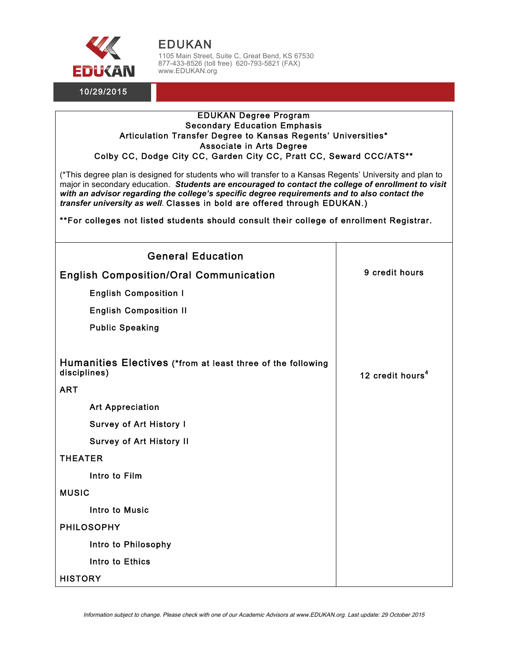

EDUKAN 1105 Main Street, Suite C, Great Bend, KS 67530 877-433-8526 (toll free) 620-793-5821 (FAX) www.EDUKAN.org

## EDUKAN Degree Program Secondary Education Emphasis Articulation Transfer Degree to Kansas Regents' Universities\* Associate in Arts Degree Colby CC, Dodge City CC, Garden City CC, Pratt CC, Seward CCC/ATS\*\*

(\*This degree plan is designed for students who will transfer to a Kansas Regents' University and plan to major in secondary education. *Students are encouraged to contact the college of enrollment to visit with an advisor regarding the college's specific degree requirements and to also contact the transfer university as well*. Classes in bold are offered through EDUKAN.)

\*\*For colleges not listed students should consult their college of enrollment Registrar.

| <b>General Education</b>                                                    |                              |
|-----------------------------------------------------------------------------|------------------------------|
| <b>English Composition/Oral Communication</b>                               | 9 credit hours               |
| <b>English Composition I</b>                                                |                              |
| <b>English Composition II</b>                                               |                              |
| <b>Public Speaking</b>                                                      |                              |
| Humanities Electives (*from at least three of the following<br>disciplines) | 12 credit hours <sup>4</sup> |
| <b>ART</b>                                                                  |                              |
| <b>Art Appreciation</b>                                                     |                              |
| <b>Survey of Art History I</b>                                              |                              |
| <b>Survey of Art History II</b>                                             |                              |
| <b>THEATER</b>                                                              |                              |
| Intro to Film                                                               |                              |
| <b>MUSIC</b>                                                                |                              |
| <b>Intro to Music</b>                                                       |                              |
| <b>PHILOSOPHY</b>                                                           |                              |
| Intro to Philosophy                                                         |                              |
| Intro to Ethics                                                             |                              |
| <b>HISTORY</b>                                                              |                              |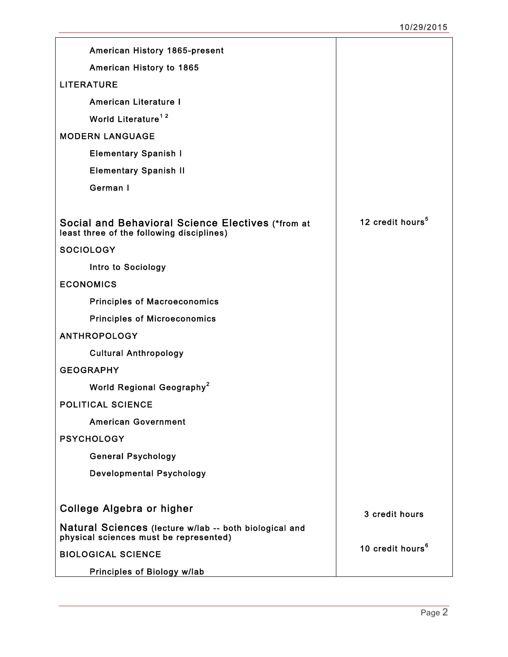| American History 1865-present                                                                         |                              |
|-------------------------------------------------------------------------------------------------------|------------------------------|
| American History to 1865                                                                              |                              |
| <b>LITERATURE</b>                                                                                     |                              |
| <b>American Literature I</b>                                                                          |                              |
| World Literature <sup>12</sup>                                                                        |                              |
| <b>MODERN LANGUAGE</b>                                                                                |                              |
| <b>Elementary Spanish I</b>                                                                           |                              |
| <b>Elementary Spanish II</b>                                                                          |                              |
| German I                                                                                              |                              |
|                                                                                                       |                              |
| <b>Social and Behavioral Science Electives (*from at</b><br>least three of the following disciplines) | 12 credit hours <sup>5</sup> |
| <b>SOCIOLOGY</b>                                                                                      |                              |
| Intro to Sociology                                                                                    |                              |
| <b>ECONOMICS</b>                                                                                      |                              |
| <b>Principles of Macroeconomics</b>                                                                   |                              |
| <b>Principles of Microeconomics</b>                                                                   |                              |
| <b>ANTHROPOLOGY</b>                                                                                   |                              |
| <b>Cultural Anthropology</b>                                                                          |                              |
| <b>GEOGRAPHY</b>                                                                                      |                              |
| World Regional Geography <sup>2</sup>                                                                 |                              |
| <b>POLITICAL SCIENCE</b>                                                                              |                              |
| <b>American Government</b>                                                                            |                              |
| <b>PSYCHOLOGY</b>                                                                                     |                              |
| <b>General Psychology</b>                                                                             |                              |
| <b>Developmental Psychology</b>                                                                       |                              |
|                                                                                                       |                              |
| College Algebra or higher                                                                             | 3 credit hours               |
| Natural Sciences (lecture w/lab -- both biological and<br>physical sciences must be represented)      |                              |
| <b>BIOLOGICAL SCIENCE</b>                                                                             | 10 credit hours <sup>6</sup> |
| <b>Principles of Biology w/lab</b>                                                                    |                              |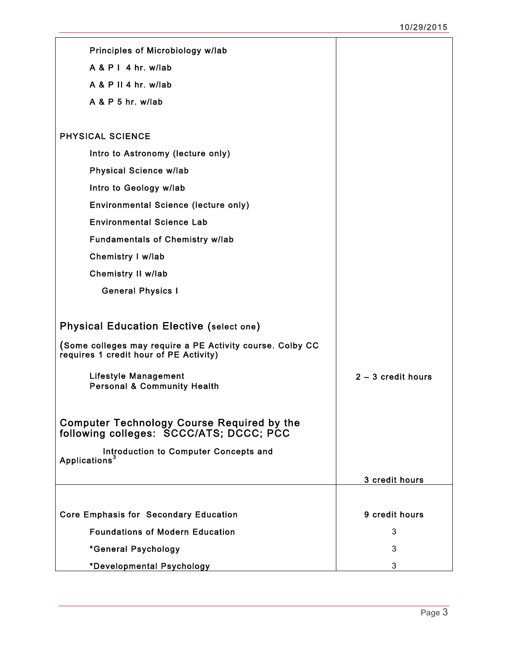| Principles of Microbiology w/lab                                                                    |                      |
|-----------------------------------------------------------------------------------------------------|----------------------|
| $A & P I$ 4 hr. w/lab                                                                               |                      |
| $A & P$ II 4 hr. w/lab                                                                              |                      |
| $A & P & 5$ hr. w/lab                                                                               |                      |
|                                                                                                     |                      |
| <b>PHYSICAL SCIENCE</b>                                                                             |                      |
| Intro to Astronomy (lecture only)                                                                   |                      |
| <b>Physical Science w/lab</b>                                                                       |                      |
| Intro to Geology w/lab                                                                              |                      |
| Environmental Science (lecture only)                                                                |                      |
| <b>Environmental Science Lab</b>                                                                    |                      |
| <b>Fundamentals of Chemistry w/lab</b>                                                              |                      |
| Chemistry I w/lab                                                                                   |                      |
| <b>Chemistry II w/lab</b>                                                                           |                      |
| <b>General Physics I</b>                                                                            |                      |
|                                                                                                     |                      |
| <b>Physical Education Elective (select one)</b>                                                     |                      |
| (Some colleges may require a PE Activity course. Colby CC<br>requires 1 credit hour of PE Activity) |                      |
| <b>Lifestyle Management</b><br><b>Personal &amp; Community Health</b>                               | $2 - 3$ credit hours |
|                                                                                                     |                      |
| <b>Computer Technology Course Required by the</b><br>following colleges: SCCC/ATS; DCCC; PCC        |                      |
| Introduction to Computer Concepts and                                                               |                      |
| Applications <sup>3</sup>                                                                           |                      |
|                                                                                                     | 3 credit hours       |
|                                                                                                     |                      |
| <b>Core Emphasis for Secondary Education</b>                                                        | 9 credit hours       |
| <b>Foundations of Modern Education</b>                                                              | 3                    |
| *General Psychology                                                                                 | 3                    |
| *Developmental Psychology                                                                           | 3                    |